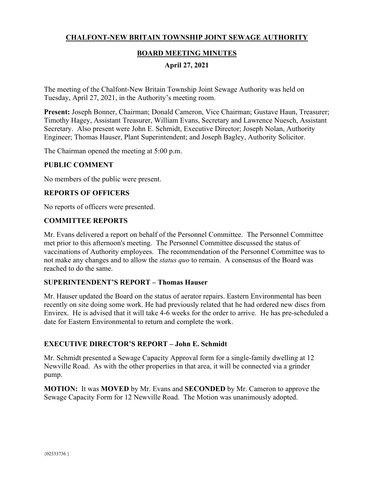# **CHALFONT-NEW BRITAIN TOWNSHIP JOINT SEWAGE AUTHORITY**

## **BOARD MEETING MINUTES**

## **April 27, 2021**

The meeting of the Chalfont-New Britain Township Joint Sewage Authority was held on Tuesday, April 27, 2021, in the Authority's meeting room.

**Present:** Joseph Bonner, Chairman; Donald Cameron, Vice Chairman; Gustave Haun, Treasurer; Timothy Hagey, Assistant Treasurer, William Evans, Secretary and Lawrence Nuesch, Assistant Secretary. Also present were John E. Schmidt, Executive Director; Joseph Nolan, Authority Engineer; Thomas Hauser, Plant Superintendent; and Joseph Bagley, Authority Solicitor.

The Chairman opened the meeting at 5:00 p.m.

### **PUBLIC COMMENT**

No members of the public were present.

### **REPORTS OF OFFICERS**

No reports of officers were presented.

### **COMMITTEE REPORTS**

Mr. Evans delivered a report on behalf of the Personnel Committee. The Personnel Committee met prior to this afternoon's meeting. The Personnel Committee discussed the status of vaccinations of Authority employees. The recommendation of the Personnel Committee was to not make any changes and to allow the *status quo* to remain. A consensus of the Board was reached to do the same.

### **SUPERINTENDENT'S REPORT – Thomas Hauser**

Mr. Hauser updated the Board on the status of aerator repairs. Eastern Environmental has been recently on site doing some work. He had previously related that he had ordered new discs from Envirex. He is advised that it will take 4-6 weeks for the order to arrive. He has pre-scheduled a date for Eastern Environmental to return and complete the work.

### **EXECUTIVE DIRECTOR'S REPORT – John E. Schmidt**

Mr. Schmidt presented a Sewage Capacity Approval form for a single-family dwelling at 12 Newville Road. As with the other properties in that area, it will be connected via a grinder pump.

**MOTION:** It was **MOVED** by Mr. Evans and **SECONDED** by Mr. Cameron to approve the Sewage Capacity Form for 12 Newville Road. The Motion was unanimously adopted.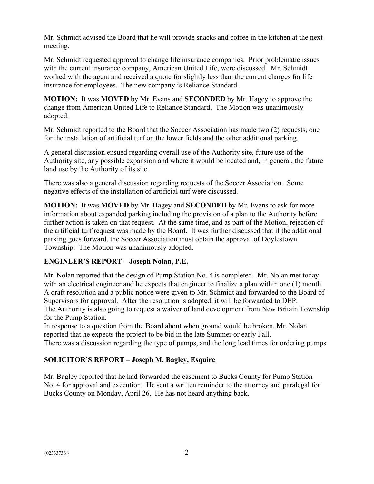Mr. Schmidt advised the Board that he will provide snacks and coffee in the kitchen at the next meeting.

Mr. Schmidt requested approval to change life insurance companies. Prior problematic issues with the current insurance company, American United Life, were discussed. Mr. Schmidt worked with the agent and received a quote for slightly less than the current charges for life insurance for employees. The new company is Reliance Standard.

**MOTION:** It was **MOVED** by Mr. Evans and **SECONDED** by Mr. Hagey to approve the change from American United Life to Reliance Standard. The Motion was unanimously adopted.

Mr. Schmidt reported to the Board that the Soccer Association has made two (2) requests, one for the installation of artificial turf on the lower fields and the other additional parking.

A general discussion ensued regarding overall use of the Authority site, future use of the Authority site, any possible expansion and where it would be located and, in general, the future land use by the Authority of its site.

There was also a general discussion regarding requests of the Soccer Association. Some negative effects of the installation of artificial turf were discussed.

**MOTION:** It was **MOVED** by Mr. Hagey and **SECONDED** by Mr. Evans to ask for more information about expanded parking including the provision of a plan to the Authority before further action is taken on that request. At the same time, and as part of the Motion, rejection of the artificial turf request was made by the Board. It was further discussed that if the additional parking goes forward, the Soccer Association must obtain the approval of Doylestown Township. The Motion was unanimously adopted.

# **ENGINEER'S REPORT – Joseph Nolan, P.E.**

Mr. Nolan reported that the design of Pump Station No. 4 is completed. Mr. Nolan met today with an electrical engineer and he expects that engineer to finalize a plan within one (1) month. A draft resolution and a public notice were given to Mr. Schmidt and forwarded to the Board of Supervisors for approval. After the resolution is adopted, it will be forwarded to DEP. The Authority is also going to request a waiver of land development from New Britain Township for the Pump Station.

In response to a question from the Board about when ground would be broken, Mr. Nolan reported that he expects the project to be bid in the late Summer or early Fall. There was a discussion regarding the type of pumps, and the long lead times for ordering pumps.

# **SOLICITOR'S REPORT – Joseph M. Bagley, Esquire**

Mr. Bagley reported that he had forwarded the easement to Bucks County for Pump Station No. 4 for approval and execution. He sent a written reminder to the attorney and paralegal for Bucks County on Monday, April 26. He has not heard anything back.